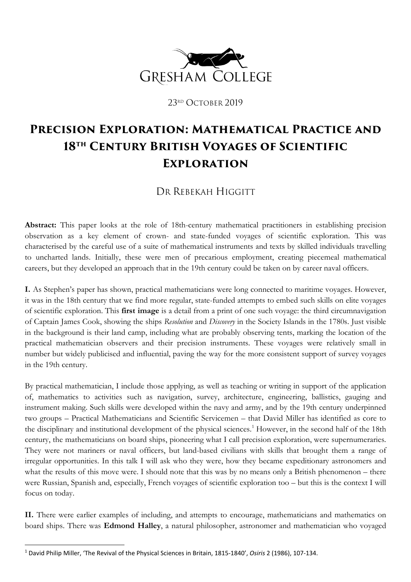

23RD OCTOBER 2019

## **Precision Exploration: Mathematical Practice and 18th Century British Voyages of Scientific Exploration**

DR REBEKAH HIGGITT

**Abstract:** This paper looks at the role of 18th-century mathematical practitioners in establishing precision observation as a key element of crown- and state-funded voyages of scientific exploration. This was characterised by the careful use of a suite of mathematical instruments and texts by skilled individuals travelling to uncharted lands. Initially, these were men of precarious employment, creating piecemeal mathematical careers, but they developed an approach that in the 19th century could be taken on by career naval officers.

**I.** As Stephen's paper has shown, practical mathematicians were long connected to maritime voyages. However, it was in the 18th century that we find more regular, state-funded attempts to embed such skills on elite voyages of scientific exploration. This **first image** is a detail from a print of one such voyage: the third circumnavigation of Captain James Cook, showing the ships *Resolution* and *Discovery* in the Society Islands in the 1780s. Just visible in the background is their land camp, including what are probably observing tents, marking the location of the practical mathematician observers and their precision instruments. These voyages were relatively small in number but widely publicised and influential, paving the way for the more consistent support of survey voyages in the 19th century.

By practical mathematician, I include those applying, as well as teaching or writing in support of the application of, mathematics to activities such as navigation, survey, architecture, engineering, ballistics, gauging and instrument making. Such skills were developed within the navy and army, and by the 19th century underpinned two groups – Practical Mathematicians and Scientific Servicemen – that David Miller has identified as core to the disciplinary and institutional development of the physical sciences. [1](#page-0-0) However, in the second half of the 18th century, the mathematicians on board ships, pioneering what I call precision exploration, were supernumeraries. They were not mariners or naval officers, but land-based civilians with skills that brought them a range of irregular opportunities. In this talk I will ask who they were, how they became expeditionary astronomers and what the results of this move were. I should note that this was by no means only a British phenomenon – there were Russian, Spanish and, especially, French voyages of scientific exploration too – but this is the context I will focus on today.

II. There were earlier examples of including, and attempts to encourage, mathematicians and mathematics on board ships. There was **Edmond Halley**, a natural philosopher, astronomer and mathematician who voyaged

<span id="page-0-0"></span><sup>1</sup> David Philip Miller, 'The Revival of the Physical Sciences in Britain, 1815-1840', *Osiris* 2 (1986), 107-134.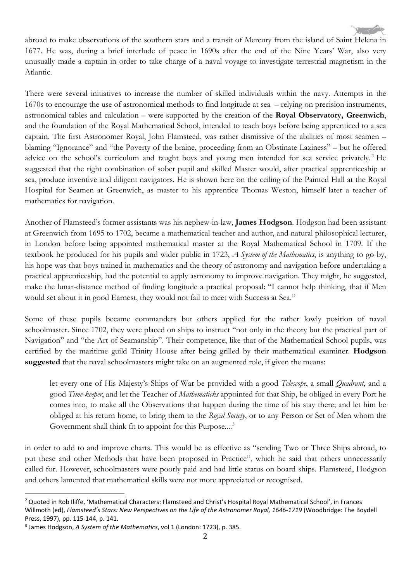

abroad to make observations of the southern stars and a transit of Mercury from the island of Saint Helena in 1677. He was, during a brief interlude of peace in 1690s after the end of the Nine Years' War, also very unusually made a captain in order to take charge of a naval voyage to investigate terrestrial magnetism in the Atlantic.

There were several initiatives to increase the number of skilled individuals within the navy. Attempts in the 1670s to encourage the use of astronomical methods to find longitude at sea – relying on precision instruments, astronomical tables and calculation – were supported by the creation of the **Royal Observatory, Greenwich**, and the foundation of the Royal Mathematical School, intended to teach boys before being apprenticed to a sea captain. The first Astronomer Royal, John Flamsteed, was rather dismissive of the abilities of most seamen – blaming "Ignorance" and "the Poverty of the braine, proceeding from an Obstinate Laziness" – but he offered advice on the school's curriculum and taught boys and young men intended for sea service privately. [2](#page-1-0) He suggested that the right combination of sober pupil and skilled Master would, after practical apprenticeship at sea, produce inventive and diligent navigators. He is shown here on the ceiling of the Painted Hall at the Royal Hospital for Seamen at Greenwich, as master to his apprentice Thomas Weston, himself later a teacher of mathematics for navigation.

Another of Flamsteed's former assistants was his nephew-in-law, **James Hodgson**. Hodgson had been assistant at Greenwich from 1695 to 1702, became a mathematical teacher and author, and natural philosophical lecturer, in London before being appointed mathematical master at the Royal Mathematical School in 1709. If the textbook he produced for his pupils and wider public in 1723, *A System of the Mathematics*, is anything to go by, his hope was that boys trained in mathematics and the theory of astronomy and navigation before undertaking a practical apprenticeship, had the potential to apply astronomy to improve navigation. They might, he suggested, make the lunar-distance method of finding longitude a practical proposal: "I cannot help thinking, that if Men would set about it in good Earnest, they would not fail to meet with Success at Sea."

Some of these pupils became commanders but others applied for the rather lowly position of naval schoolmaster. Since 1702, they were placed on ships to instruct "not only in the theory but the practical part of Navigation" and "the Art of Seamanship". Their competence, like that of the Mathematical School pupils, was certified by the maritime guild Trinity House after being grilled by their mathematical examiner. **Hodgson suggested** that the naval schoolmasters might take on an augmented role, if given the means:

let every one of His Majesty's Ships of War be provided with a good *Telescope*, a small *Quadrant*, and a good *Time-keeper*, and let the Teacher of *Mathematicks* appointed for that Ship, be obliged in every Port he comes into, to make all the Observations that happen during the time of his stay there; and let him be obliged at his return home, to bring them to the *Royal Society*, or to any Person or Set of Men whom the Government shall think fit to appoint for this Purpose....<sup>[3](#page-1-1)</sup>

in order to add to and improve charts. This would be as effective as "sending Two or Three Ships abroad, to put these and other Methods that have been proposed in Practice", which he said that others unnecessarily called for. However, schoolmasters were poorly paid and had little status on board ships. Flamsteed, Hodgson and others lamented that mathematical skills were not more appreciated or recognised.

<span id="page-1-0"></span><sup>&</sup>lt;sup>2</sup> Quoted in Rob Iliffe, 'Mathematical Characters: Flamsteed and Christ's Hospital Royal Mathematical School', in Frances Willmoth (ed), *Flamsteed's Stars: New Perspectives on the Life of the Astronomer Royal, 1646-1719* (Woodbridge: The Boydell Press, 1997), pp. 115-144, p. 141.

<span id="page-1-1"></span><sup>3</sup> James Hodgson, *A System of the Mathematics*, vol 1 (London: 1723), p. 385.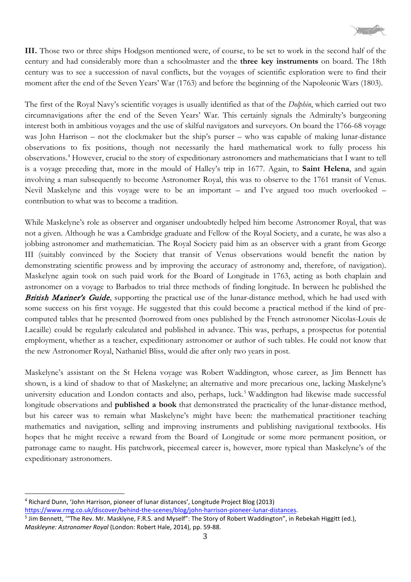

**III.** Those two or three ships Hodgson mentioned were, of course, to be set to work in the second half of the century and had considerably more than a schoolmaster and the **three key instruments** on board. The 18th century was to see a succession of naval conflicts, but the voyages of scientific exploration were to find their moment after the end of the Seven Years' War (1763) and before the beginning of the Napoleonic Wars (1803).

The first of the Royal Navy's scientific voyages is usually identified as that of the *Dolphin*, which carried out two circumnavigations after the end of the Seven Years' War. This certainly signals the Admiralty's burgeoning interest both in ambitious voyages and the use of skilful navigators and surveyors. On board the 1766-68 voyage was John Harrison – not the clockmaker but the ship's purser – who was capable of making lunar-distance observations to fix positions, though not necessarily the hard mathematical work to fully process his observations.[4](#page-2-0) However, crucial to the story of expeditionary astronomers and mathematicians that I want to tell is a voyage preceding that, more in the mould of Halley's trip in 1677. Again, to **Saint Helena**, and again involving a man subsequently to become Astronomer Royal, this was to observe to the 1761 transit of Venus. Nevil Maskelyne and this voyage were to be an important – and I've argued too much overlooked – contribution to what was to become a tradition.

While Maskelyne's role as observer and organiser undoubtedly helped him become Astronomer Royal, that was not a given. Although he was a Cambridge graduate and Fellow of the Royal Society, and a curate, he was also a jobbing astronomer and mathematician. The Royal Society paid him as an observer with a grant from George III (suitably convinced by the Society that transit of Venus observations would benefit the nation by demonstrating scientific prowess and by improving the accuracy of astronomy and, therefore, of navigation). Maskelyne again took on such paid work for the Board of Longitude in 1763, acting as both chaplain and astronomer on a voyage to Barbados to trial three methods of finding longitude. In between he published the **British Mariner's Guide**, supporting the practical use of the lunar-distance method, which he had used with some success on his first voyage. He suggested that this could become a practical method if the kind of precomputed tables that he presented (borrowed from ones published by the French astronomer Nicolas-Louis de Lacaille) could be regularly calculated and published in advance. This was, perhaps, a prospectus for potential employment, whether as a teacher, expeditionary astronomer or author of such tables. He could not know that the new Astronomer Royal, Nathaniel Bliss, would die after only two years in post.

Maskelyne's assistant on the St Helena voyage was Robert Waddington, whose career, as Jim Bennett has shown, is a kind of shadow to that of Maskelyne; an alternative and more precarious one, lacking Maskelyne's university education and London contacts and also, perhaps, luck.<sup>[5](#page-2-1)</sup> Waddington had likewise made successful longitude observations and **published a book** that demonstrated the practicality of the lunar-distance method, but his career was to remain what Maskelyne's might have been: the mathematical practitioner teaching mathematics and navigation, selling and improving instruments and publishing navigational textbooks. His hopes that he might receive a reward from the Board of Longitude or some more permanent position, or patronage came to naught. His patchwork, piecemeal career is, however, more typical than Maskelyne's of the expeditionary astronomers.

<span id="page-2-0"></span><sup>4</sup> Richard Dunn, 'John Harrison, pioneer of lunar distances', Longitude Project Blog (2013) [https://www.rmg.co.uk/discover/behind-the-scenes/blog/john-harrison-pioneer-lunar-distances.](https://www.rmg.co.uk/discover/behind-the-scenes/blog/john-harrison-pioneer-lunar-distances)

<span id="page-2-1"></span><sup>&</sup>lt;sup>5</sup> Jim Bennett, "The Rev. Mr. Masklyne, F.R.S. and Myself": The Story of Robert Waddington", in Rebekah Higgitt (ed.), *Maskleyne: Astronomer Royal* (London: Robert Hale, 2014), pp. 59-88.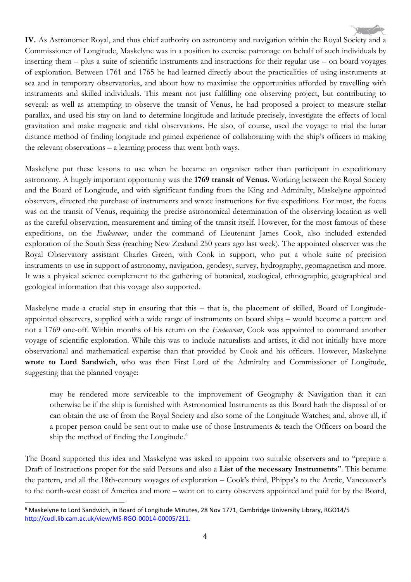**IV.** As Astronomer Royal, and thus chief authority on astronomy and navigation within the Royal Society and a Commissioner of Longitude, Maskelyne was in a position to exercise patronage on behalf of such individuals by inserting them – plus a suite of scientific instruments and instructions for their regular use – on board voyages of exploration. Between 1761 and 1765 he had learned directly about the practicalities of using instruments at sea and in temporary observatories, and about how to maximise the opportunities afforded by travelling with instruments and skilled individuals. This meant not just fulfilling one observing project, but contributing to several: as well as attempting to observe the transit of Venus, he had proposed a project to measure stellar parallax, and used his stay on land to determine longitude and latitude precisely, investigate the effects of local gravitation and make magnetic and tidal observations. He also, of course, used the voyage to trial the lunar distance method of finding longitude and gained experience of collaborating with the ship's officers in making the relevant observations – a learning process that went both ways.

Maskelyne put these lessons to use when he became an organiser rather than participant in expeditionary astronomy. A hugely important opportunity was the **1769 transit of Venus**. Working between the Royal Society and the Board of Longitude, and with significant funding from the King and Admiralty, Maskelyne appointed observers, directed the purchase of instruments and wrote instructions for five expeditions. For most, the focus was on the transit of Venus, requiring the precise astronomical determination of the observing location as well as the careful observation, measurement and timing of the transit itself. However, for the most famous of these expeditions, on the *Endeavour*, under the command of Lieutenant James Cook, also included extended exploration of the South Seas (reaching New Zealand 250 years ago last week). The appointed observer was the Royal Observatory assistant Charles Green, with Cook in support, who put a whole suite of precision instruments to use in support of astronomy, navigation, geodesy, survey, hydrography, geomagnetism and more. It was a physical science complement to the gathering of botanical, zoological, ethnographic, geographical and geological information that this voyage also supported.

Maskelyne made a crucial step in ensuring that this – that is, the placement of skilled, Board of Longitudeappointed observers, supplied with a wide range of instruments on board ships – would become a pattern and not a 1769 one-off. Within months of his return on the *Endeavour*, Cook was appointed to command another voyage of scientific exploration. While this was to include naturalists and artists, it did not initially have more observational and mathematical expertise than that provided by Cook and his officers. However, Maskelyne **wrote to Lord Sandwich**, who was then First Lord of the Admiralty and Commissioner of Longitude, suggesting that the planned voyage:

may be rendered more serviceable to the improvement of Geography & Navigation than it can otherwise be if the ship is furnished with Astronomical Instruments as this Board hath the disposal of or can obtain the use of from the Royal Society and also some of the Longitude Watches; and, above all, if a proper person could be sent out to make use of those Instruments & teach the Officers on board the ship the method of finding the Longitude.<sup>[6](#page-3-0)</sup>

The Board supported this idea and Maskelyne was asked to appoint two suitable observers and to "prepare a Draft of Instructions proper for the said Persons and also a **List of the necessary Instruments**". This became the pattern, and all the 18th-century voyages of exploration – Cook's third, Phipps's to the Arctic, Vancouver's to the north-west coast of America and more – went on to carry observers appointed and paid for by the Board,

<span id="page-3-0"></span><sup>&</sup>lt;sup>6</sup> Maskelyne to Lord Sandwich, in Board of Longitude Minutes, 28 Nov 1771, Cambridge University Library, RGO14/5 [http://cudl.lib.cam.ac.uk/view/MS-RGO-00014-00005/211.](http://cudl.lib.cam.ac.uk/view/MS-RGO-00014-00005/211)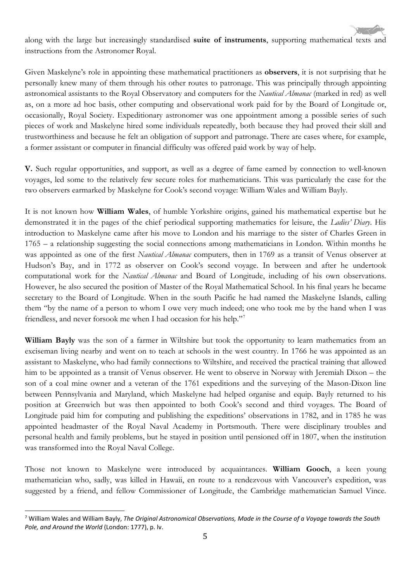along with the large but increasingly standardised **suite of instruments**, supporting mathematical texts and instructions from the Astronomer Royal.

Given Maskelyne's role in appointing these mathematical practitioners as **observers**, it is not surprising that he personally knew many of them through his other routes to patronage. This was principally through appointing astronomical assistants to the Royal Observatory and computers for the *Nautical Almanac* (marked in red) as well as, on a more ad hoc basis, other computing and observational work paid for by the Board of Longitude or, occasionally, Royal Society. Expeditionary astronomer was one appointment among a possible series of such pieces of work and Maskelyne hired some individuals repeatedly, both because they had proved their skill and trustworthiness and because he felt an obligation of support and patronage. There are cases where, for example, a former assistant or computer in financial difficulty was offered paid work by way of help.

**V.** Such regular opportunities, and support, as well as a degree of fame earned by connection to well-known voyages, led some to the relatively few secure roles for mathematicians. This was particularly the case for the two observers earmarked by Maskelyne for Cook's second voyage: William Wales and William Bayly.

It is not known how **William Wales**, of humble Yorkshire origins, gained his mathematical expertise but he demonstrated it in the pages of the chief periodical supporting mathematics for leisure, the *Ladies' Diary*. His introduction to Maskelyne came after his move to London and his marriage to the sister of Charles Green in 1765 – a relationship suggesting the social connections among mathematicians in London. Within months he was appointed as one of the first *Nautical Almanac* computers, then in 1769 as a transit of Venus observer at Hudson's Bay, and in 1772 as observer on Cook's second voyage. In between and after he undertook computational work for the *Nautical Almanac* and Board of Longitude, including of his own observations. However, he also secured the position of Master of the Royal Mathematical School. In his final years he became secretary to the Board of Longitude. When in the south Pacific he had named the Maskelyne Islands, calling them "by the name of a person to whom I owe very much indeed; one who took me by the hand when I was friendless, and never forsook me when I had occasion for his help."[7](#page-4-0)

**William Bayly** was the son of a farmer in Wiltshire but took the opportunity to learn mathematics from an exciseman living nearby and went on to teach at schools in the west country. In 1766 he was appointed as an assistant to Maskelyne, who had family connections to Wiltshire, and received the practical training that allowed him to be appointed as a transit of Venus observer. He went to observe in Norway with Jeremiah Dixon – the son of a coal mine owner and a veteran of the 1761 expeditions and the surveying of the Mason-Dixon line between Pennsylvania and Maryland, which Maskelyne had helped organise and equip. Bayly returned to his position at Greenwich but was then appointed to both Cook's second and third voyages. The Board of Longitude paid him for computing and publishing the expeditions' observations in 1782, and in 1785 he was appointed headmaster of the Royal Naval Academy in Portsmouth. There were disciplinary troubles and personal health and family problems, but he stayed in position until pensioned off in 1807, when the institution was transformed into the Royal Naval College.

Those not known to Maskelyne were introduced by acquaintances. **William Gooch**, a keen young mathematician who, sadly, was killed in Hawaii, en route to a rendezvous with Vancouver's expedition, was suggested by a friend, and fellow Commissioner of Longitude, the Cambridge mathematician Samuel Vince.

<span id="page-4-0"></span><sup>7</sup> William Wales and William Bayly, *The Original Astronomical Observations, Made in the Course of a Voyage towards the South Pole, and Around the World* (London: 1777), p. lv.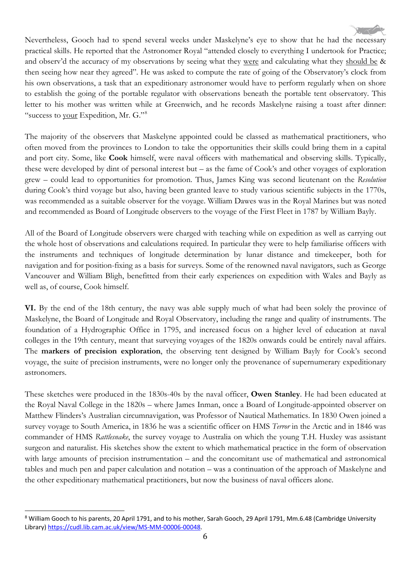Nevertheless, Gooch had to spend several weeks under Maskelyne's eye to show that he had the necessary practical skills. He reported that the Astronomer Royal "attended closely to everything I undertook for Practice; and observ'd the accuracy of my observations by seeing what they were and calculating what they should be & then seeing how near they agreed". He was asked to compute the rate of going of the Observatory's clock from his own observations, a task that an expeditionary astronomer would have to perform regularly when on shore to establish the going of the portable regulator with observations beneath the portable tent observatory. This letter to his mother was written while at Greenwich, and he records Maskelyne raising a toast after dinner: "success to your Expedition, Mr. G."[8](#page-5-0)

The majority of the observers that Maskelyne appointed could be classed as mathematical practitioners, who often moved from the provinces to London to take the opportunities their skills could bring them in a capital and port city. Some, like **Cook** himself, were naval officers with mathematical and observing skills. Typically, these were developed by dint of personal interest but – as the fame of Cook's and other voyages of exploration grew – could lead to opportunities for promotion. Thus, James King was second lieutenant on the *Resolution* during Cook's third voyage but also, having been granted leave to study various scientific subjects in the 1770s, was recommended as a suitable observer for the voyage. William Dawes was in the Royal Marines but was noted and recommended as Board of Longitude observers to the voyage of the First Fleet in 1787 by William Bayly.

All of the Board of Longitude observers were charged with teaching while on expedition as well as carrying out the whole host of observations and calculations required. In particular they were to help familiarise officers with the instruments and techniques of longitude determination by lunar distance and timekeeper, both for navigation and for position-fixing as a basis for surveys. Some of the renowned naval navigators, such as George Vancouver and William Bligh, benefitted from their early experiences on expedition with Wales and Bayly as well as, of course, Cook himself.

**VI.** By the end of the 18th century, the navy was able supply much of what had been solely the province of Maskelyne, the Board of Longitude and Royal Observatory, including the range and quality of instruments. The foundation of a Hydrographic Office in 1795, and increased focus on a higher level of education at naval colleges in the 19th century, meant that surveying voyages of the 1820s onwards could be entirely naval affairs. The **markers of precision exploration**, the observing tent designed by William Bayly for Cook's second voyage, the suite of precision instruments, were no longer only the provenance of supernumerary expeditionary astronomers.

These sketches were produced in the 1830s-40s by the naval officer, **Owen Stanley**. He had been educated at the Royal Naval College in the 1820s – where James Inman, once a Board of Longitude-appointed observer on Matthew Flinders's Australian circumnavigation, was Professor of Nautical Mathematics. In 1830 Owen joined a survey voyage to South America, in 1836 he was a scientific officer on HMS *Terror* in the Arctic and in 1846 was commander of HMS *Rattlesnake*, the survey voyage to Australia on which the young T.H. Huxley was assistant surgeon and naturalist. His sketches show the extent to which mathematical practice in the form of observation with large amounts of precision instrumentation – and the concomitant use of mathematical and astronomical tables and much pen and paper calculation and notation – was a continuation of the approach of Maskelyne and the other expeditionary mathematical practitioners, but now the business of naval officers alone.

<span id="page-5-0"></span><sup>&</sup>lt;sup>8</sup> William Gooch to his parents, 20 April 1791, and to his mother, Sarah Gooch, 29 April 1791, Mm.6.48 (Cambridge University Library[\) https://cudl.lib.cam.ac.uk/view/MS-MM-00006-00048.](https://cudl.lib.cam.ac.uk/view/MS-MM-00006-00048)